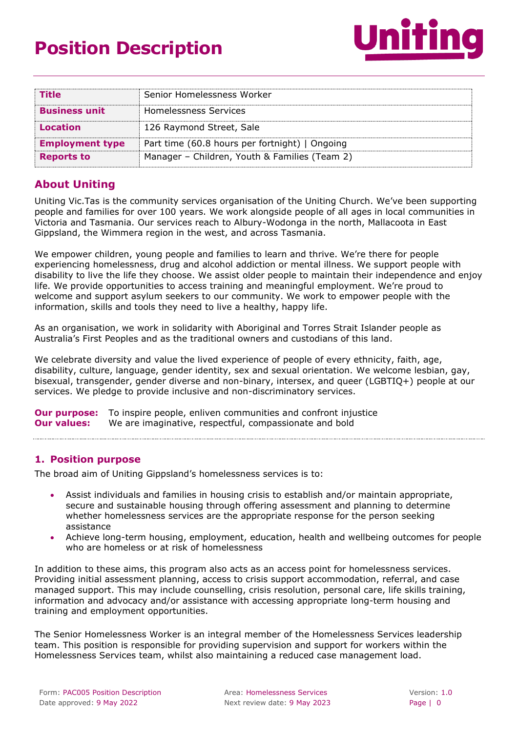# **Position Description**



| <b>Title</b>           | Senior Homelessness Worker                     |
|------------------------|------------------------------------------------|
| <b>Business unit</b>   | Homelessness Services                          |
| <b>Location</b>        | 126 Raymond Street, Sale                       |
| <b>Employment type</b> | Part time (60.8 hours per fortnight)   Ongoing |
| <b>Reports to</b>      | Manager - Children, Youth & Families (Team 2)  |

## **About Uniting**

Uniting Vic.Tas is the community services organisation of the Uniting Church. We've been supporting people and families for over 100 years. We work alongside people of all ages in local communities in Victoria and Tasmania. Our services reach to Albury-Wodonga in the north, Mallacoota in East Gippsland, the Wimmera region in the west, and across Tasmania.

We empower children, young people and families to learn and thrive. We're there for people experiencing homelessness, drug and alcohol addiction or mental illness. We support people with disability to live the life they choose. We assist older people to maintain their independence and enjoy life. We provide opportunities to access training and meaningful employment. We're proud to welcome and support asylum seekers to our community. We work to empower people with the information, skills and tools they need to live a healthy, happy life.

As an organisation, we work in solidarity with Aboriginal and Torres Strait Islander people as Australia's First Peoples and as the traditional owners and custodians of this land.

We celebrate diversity and value the lived experience of people of every ethnicity, faith, age, disability, culture, language, gender identity, sex and sexual orientation. We welcome lesbian, gay, bisexual, transgender, gender diverse and non-binary, intersex, and queer (LGBTIQ+) people at our services. We pledge to provide inclusive and non-discriminatory services.

**Our purpose:** To inspire people, enliven communities and confront iniustice **Our values:** We are imaginative, respectful, compassionate and bold

#### **1. Position purpose**

The broad aim of Uniting Gippsland's homelessness services is to:

- Assist individuals and families in housing crisis to establish and/or maintain appropriate, secure and sustainable housing through offering assessment and planning to determine whether homelessness services are the appropriate response for the person seeking assistance
- Achieve long-term housing, employment, education, health and wellbeing outcomes for people who are homeless or at risk of homelessness

In addition to these aims, this program also acts as an access point for homelessness services. Providing initial assessment planning, access to crisis support accommodation, referral, and case managed support. This may include counselling, crisis resolution, personal care, life skills training, information and advocacy and/or assistance with accessing appropriate long-term housing and training and employment opportunities.

The Senior Homelessness Worker is an integral member of the Homelessness Services leadership team. This position is responsible for providing supervision and support for workers within the Homelessness Services team, whilst also maintaining a reduced case management load.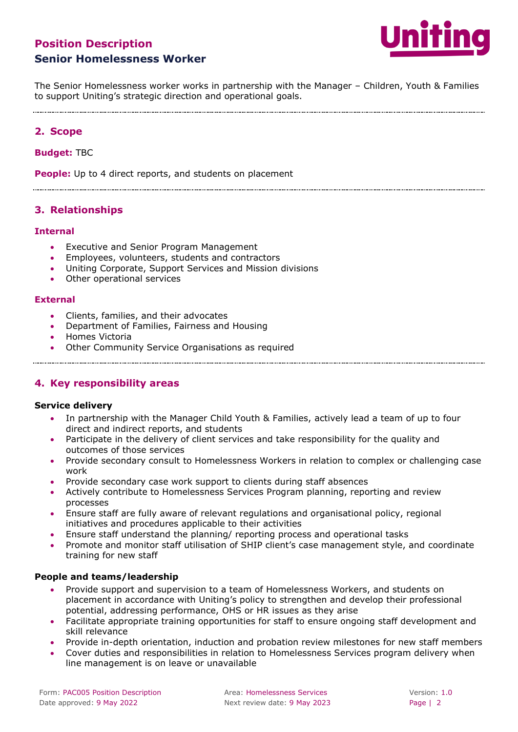# **Position Description Senior Homelessness Worker**



The Senior Homelessness worker works in partnership with the Manager – Children, Youth & Families to support Uniting's strategic direction and operational goals.

## **2. Scope**

#### **Budget:** TBC

**People:** Up to 4 direct reports, and students on placement

**3. Relationships**

#### **Internal**

- Executive and Senior Program Management
- Employees, volunteers, students and contractors
- Uniting Corporate, Support Services and Mission divisions
- Other operational services

#### **External**

- Clients, families, and their advocates
- Department of Families, Fairness and Housing
- Homes Victoria
- Other Community Service Organisations as required

## **4. Key responsibility areas**

#### **Service delivery**

• In partnership with the Manager Child Youth & Families, actively lead a team of up to four direct and indirect reports, and students

- Participate in the delivery of client services and take responsibility for the quality and outcomes of those services
- Provide secondary consult to Homelessness Workers in relation to complex or challenging case work
- Provide secondary case work support to clients during staff absences
- Actively contribute to Homelessness Services Program planning, reporting and review processes
- Ensure staff are fully aware of relevant regulations and organisational policy, regional initiatives and procedures applicable to their activities
- Ensure staff understand the planning/ reporting process and operational tasks
- Promote and monitor staff utilisation of SHIP client's case management style, and coordinate training for new staff

#### **People and teams/leadership**

- Provide support and supervision to a team of Homelessness Workers, and students on placement in accordance with Uniting's policy to strengthen and develop their professional potential, addressing performance, OHS or HR issues as they arise
- Facilitate appropriate training opportunities for staff to ensure ongoing staff development and skill relevance
- Provide in-depth orientation, induction and probation review milestones for new staff members
- Cover duties and responsibilities in relation to Homelessness Services program delivery when line management is on leave or unavailable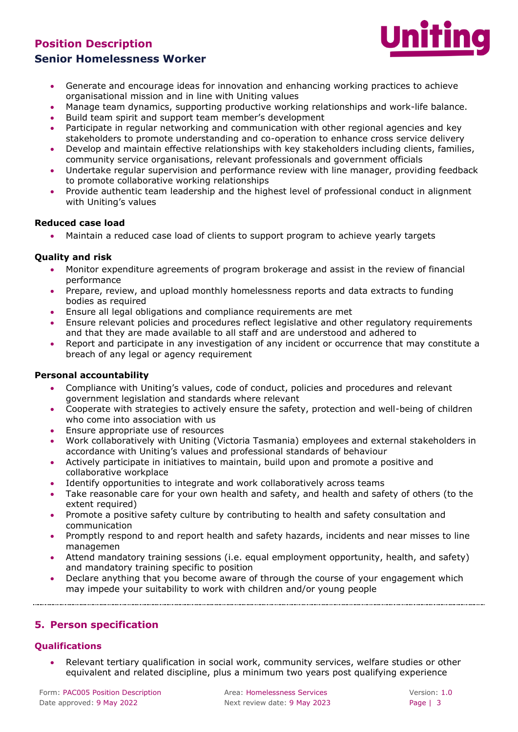# **Position Description Senior Homelessness Worker**



- Generate and encourage ideas for innovation and enhancing working practices to achieve organisational mission and in line with Uniting values
- Manage team dynamics, supporting productive working relationships and work-life balance.
- Build team spirit and support team member's development
- Participate in regular networking and communication with other regional agencies and key stakeholders to promote understanding and co-operation to enhance cross service delivery
- Develop and maintain effective relationships with key stakeholders including clients, families, community service organisations, relevant professionals and government officials
- Undertake regular supervision and performance review with line manager, providing feedback to promote collaborative working relationships
- Provide authentic team leadership and the highest level of professional conduct in alignment with Uniting's values

#### **Reduced case load**

• Maintain a reduced case load of clients to support program to achieve yearly targets

#### **Quality and risk**

- Monitor expenditure agreements of program brokerage and assist in the review of financial performance
- Prepare, review, and upload monthly homelessness reports and data extracts to funding bodies as required
- Ensure all legal obligations and compliance requirements are met
- Ensure relevant policies and procedures reflect legislative and other regulatory requirements and that they are made available to all staff and are understood and adhered to
- Report and participate in any investigation of any incident or occurrence that may constitute a breach of any legal or agency requirement

#### **Personal accountability**

- Compliance with Uniting's values, code of conduct, policies and procedures and relevant government legislation and standards where relevant
- Cooperate with strategies to actively ensure the safety, protection and well-being of children who come into association with us
- Ensure appropriate use of resources
- Work collaboratively with Uniting (Victoria Tasmania) employees and external stakeholders in accordance with Uniting's values and professional standards of behaviour
- Actively participate in initiatives to maintain, build upon and promote a positive and collaborative workplace
- Identify opportunities to integrate and work collaboratively across teams
- Take reasonable care for your own health and safety, and health and safety of others (to the extent required)
- Promote a positive safety culture by contributing to health and safety consultation and communication
- Promptly respond to and report health and safety hazards, incidents and near misses to line managemen
- Attend mandatory training sessions (i.e. equal employment opportunity, health, and safety) and mandatory training specific to position
- Declare anything that you become aware of through the course of your engagement which may impede your suitability to work with children and/or young people

#### **5. Person specification**

#### **Qualifications**

• Relevant tertiary qualification in social work, community services, welfare studies or other equivalent and related discipline, plus a minimum two years post qualifying experience